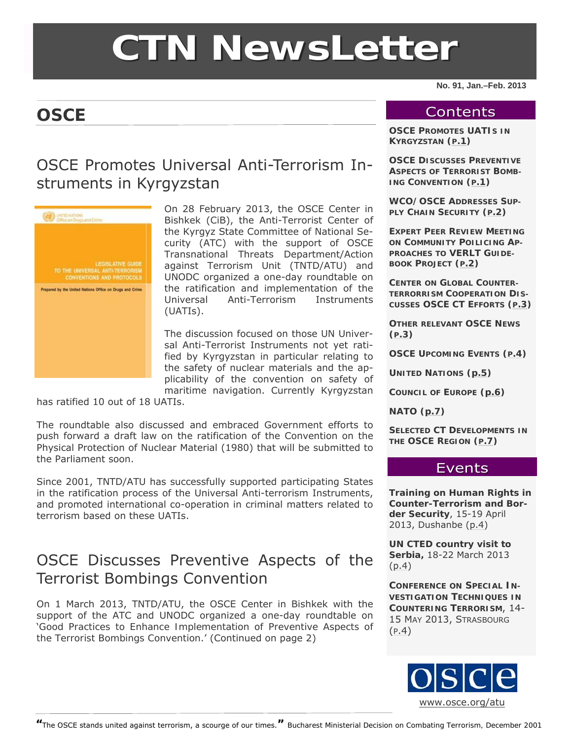# **CTN NewsLette NewsLetter**

#### **No. 91, Jan.–Feb. 2013**

## **OSCE**

#### **Contents**

**OSCE PROMOTES UATIS IN KYRGYZSTAN (P.1)** 

**OSCE DISCUSSES PREVENTIVE ASPECTS OF TERRORIST BOMB-ING CONVENTION (P.1)** 

**WCO/OSCE ADDRESSES SUP-PLY CHAIN SECURITY ([P.2](#page-1-0))** 

**EXPERT PEER REVIEW MEETING ON COMMUNITY POILICING AP-PROACHES TO VERLT GUIDE-BOOK PROJECT ([P.2](#page-1-0))** 

**CENTER ON GLOBAL COUNTER-TERRORRISM COOPERATION DIS-CUSSES OSCE CT EFFORTS ([P.3](#page-2-0))** 

**OTHER RELEVANT OSCE NEWS ([P.3](#page-2-0))** 

**OSCE UPCOMING EVENTS ([P.4](#page-3-0))**

**UNITED NATIONS ([p.5](#page-4-0))** 

**COUNCIL OF EUROPE [\(p.6](#page-5-0))** 

**NATO ([p.7](#page-6-0))** 

**SELECTED CT DEVELOPMENTS IN THE OSCE REGION ([P.7](#page-6-0))** 

#### Events

**Training on Human Rights in Counter-Terrorism and Border Security**, 15-19 April 2013, Dushanbe ([p.4\)](#page-3-0)

**UN CTED country visit to Serbia,** 18-22 March 2013 ([p.4](#page-3-0))

**CONFERENCE ON SPECIAL IN-VESTIGATION TECHNIQUES IN COUNTERING TERRORISM**, 14- 15 MAY 2013, STRASBOURG ([P.4](#page-3-0))



OSCE Promotes Universal Anti-Terrorism Instruments in Kyrgyzstan



On 28 February 2013, the OSCE Center in Bishkek (CiB), the Anti-Terrorist Center of the Kyrgyz State Committee of National Security (ATC) with the support of OSCE Transnational Threats Department/Action against Terrorism Unit (TNTD/ATU) and UNODC organized a one-day roundtable on the ratification and implementation of the Universal Anti-Terrorism Instruments (UATIs).

The discussion focused on those UN Universal Anti-Terrorist Instruments not yet ratified by Kyrgyzstan in particular relating to the safety of nuclear materials and the applicability of the convention on safety of maritime navigation. Currently Kyrgyzstan

has ratified 10 out of 18 UATIs.

The roundtable also discussed and embraced Government efforts to push forward a draft law on the ratification of the Convention on the Physical Protection of Nuclear Material (1980) that will be submitted to the Parliament soon.

Since 2001, TNTD/ATU has successfully supported participating States in the ratification process of the Universal Anti-terrorism Instruments, and promoted international co-operation in criminal matters related to terrorism based on these UATIs.

## OSCE Discusses Preventive Aspects of the Terrorist Bombings Convention

On 1 March 2013, TNTD/ATU, the OSCE Center in Bishkek with the support of the ATC and UNODC organized a one-day roundtable on '*Good Practices to Enhance Implementation of Preventive Aspects of the Terrorist Bombings Convention*.' (Continued on page 2)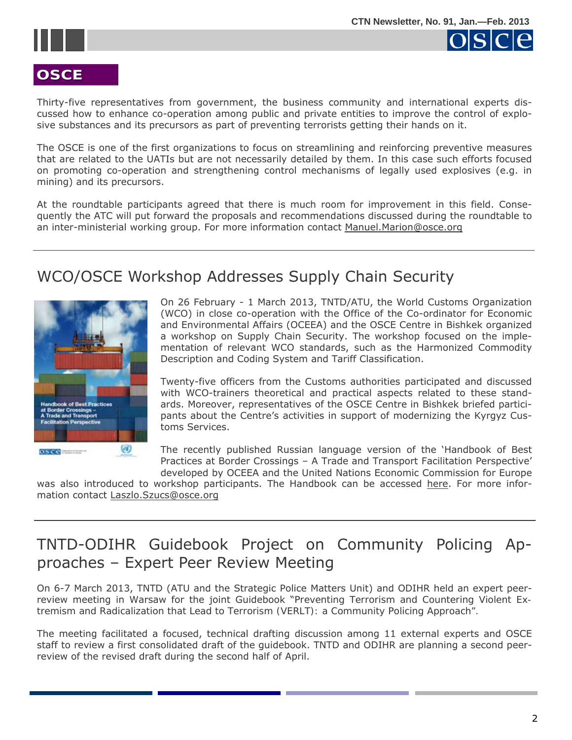

<span id="page-1-0"></span>

## osce

## **OSCE**

Thirty-five representatives from government, the business community and international experts discussed how to enhance co-operation among public and private entities to improve the control of explosive substances and its precursors as part of preventing terrorists getting their hands on it.

The OSCE is one of the first organizations to focus on streamlining and reinforcing preventive measures that are related to the UATIs but are not necessarily detailed by them. In this case such efforts focused on promoting co-operation and strengthening control mechanisms of legally used explosives (e.g. in mining) and its precursors.

At the roundtable participants agreed that there is much room for improvement in this field. Consequently the ATC will put forward the proposals and recommendations discussed during the roundtable to an inter-ministerial working group. For more information contact [Manuel.Marion@osce.org](mailto:mailtoManuel.Marion@osce.org)

## WCO/OSCE Workshop Addresses Supply Chain Security



On 26 February - 1 March 2013, TNTD/ATU, the World Customs Organization (WCO) in close co-operation with the Office of the Co-ordinator for Economic and Environmental Affairs (OCEEA) and the OSCE Centre in Bishkek organized a workshop on Supply Chain Security. The workshop focused on the implementation of relevant WCO standards, such as the Harmonized Commodity Description and Coding System and Tariff Classification.

Twenty-five officers from the Customs authorities participated and discussed with WCO-trainers theoretical and practical aspects related to these standards. Moreover, representatives of the OSCE Centre in Bishkek briefed participants about the Centre's activities in support of modernizing the Kyrgyz Customs Services.

The recently published Russian language version of the 'Handbook of Best Practices at Border Crossings – A Trade and Transport Facilitation Perspective' developed by OCEEA and the United Nations Economic Commission for Europe

was also introduced to workshop participants. The Handbook can be accessed [here.](http://www.osce.org/eea/88200) For more information contact [Laszlo.Szucs@osce.org](mailto:Laszlo.Szucs@osce.org)

## TNTD-ODIHR Guidebook Project on Community Policing Approaches – Expert Peer Review Meeting

On 6-7 March 2013, TNTD (ATU and the Strategic Police Matters Unit) and ODIHR held an expert peerreview meeting in Warsaw for the joint Guidebook "*Preventing Terrorism and Countering Violent Extremism and Radicalization that Lead to Terrorism (VERLT): a Community Policing Approach".* 

The meeting facilitated a focused, technical drafting discussion among 11 external experts and OSCE staff to review a first consolidated draft of the guidebook. TNTD and ODIHR are planning a second peerreview of the revised draft during the second half of April.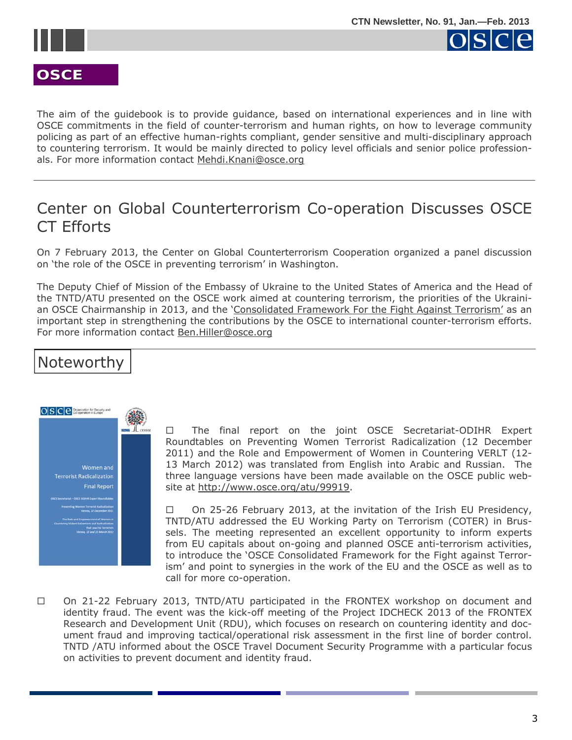<span id="page-2-0"></span>





The aim of the guidebook is to provide guidance, based on international experiences and in line with OSCE commitments in the field of counter-terrorism and human rights, on how to leverage community policing as part of an effective human-rights compliant, gender sensitive and multi-disciplinary approach to countering terrorism. It would be mainly directed to policy level officials and senior police professionals. For more information contact [Mehdi.Knani@osce.org](mailto:Mehdi.Knani@osce.org) 

## Center on Global Counterterrorism Co-operation Discusses OSCE CT Efforts

On 7 February 2013, the Center on Global Counterterrorism Cooperation organized a panel discussion on 'the role of the OSCE in preventing terrorism' in Washington.

The Deputy Chief of Mission of the Embassy of Ukraine to the United States of America and the Head of the TNTD/ATU presented on the OSCE work aimed at countering terrorism, the priorities of the Ukraini-an OSCE Chairmanship in 2013, and the ['Consolidated Framework For the Fight Against Terrorism](http://www.osce.org/pc/98008)' as an important step in strengthening the contributions by the OSCE to international counter-terrorism efforts. For more information contact [Ben.Hiller@osce.org](mailto:Ben.Hiller@osce.org)

## Noteworthy



 The final report on the joint OSCE Secretariat-ODIHR Expert Roundtables on *Preventing Women Terrorist Radicalization* (12 December 2011) and *the Role and Empowerment of Women in Countering VERLT* (12- 13 March 2012) was translated from English into Arabic and Russian. The three language versions have been made available on the OSCE public website at <http://www.osce.org/atu/99919>.

 $\Box$  On 25-26 February 2013, at the invitation of the Irish EU Presidency, TNTD/ATU addressed the EU Working Party on Terrorism (COTER) in Brussels. The meeting represented an excellent opportunity to inform experts from EU capitals about on-going and planned OSCE anti-terrorism activities, to introduce the 'OSCE Consolidated Framework for the Fight against Terrorism' and point to synergies in the work of the EU and the OSCE as well as to call for more co-operation.

□ On 21-22 February 2013, TNTD/ATU participated in the FRONTEX workshop on document and identity fraud. The event was the kick-off meeting of the Project IDCHECK 2013 of the FRONTEX Research and Development Unit (RDU), which focuses on research on countering identity and document fraud and improving tactical/operational risk assessment in the first line of border control. TNTD /ATU informed about the OSCE Travel Document Security Programme with a particular focus on activities to prevent document and identity fraud.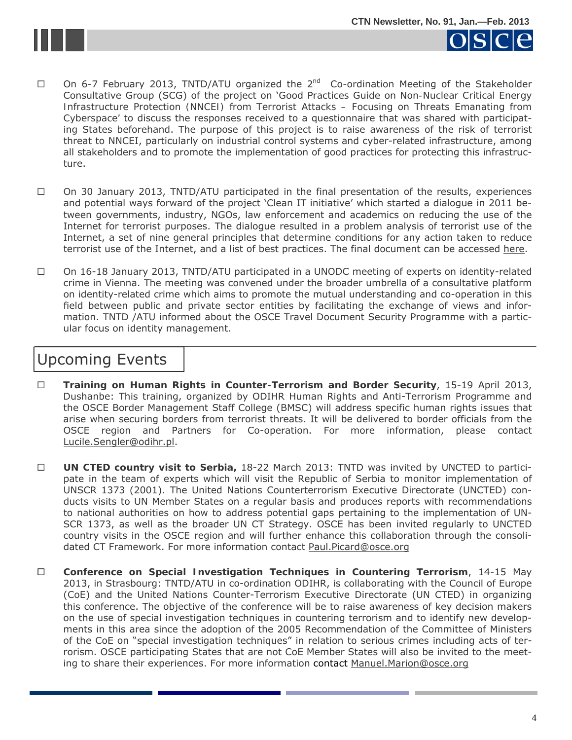<span id="page-3-0"></span>



- $\Box$  On 6-7 February 2013, TNTD/ATU organized the  $2^{nd}$  Co-ordination Meeting of the Stakeholder Consultative Group (SCG) of the project on '*Good Practices Guide on Non-Nuclear Critical Energy Infrastructure Protection (NNCEI) from Terrorist Attacks – Focusing on Threats Emanating from Cyberspace'* to discuss the responses received to a questionnaire that was shared with participating States beforehand. The purpose of this project is to raise awareness of the risk of terrorist threat to NNCEI, particularly on industrial control systems and cyber-related infrastructure, among all stakeholders and to promote the implementation of good practices for protecting this infrastructure.
- $\Box$  On 30 January 2013, TNTD/ATU participated in the final presentation of the results, experiences and potential ways forward of the project 'Clean IT initiative' which started a dialogue in 2011 between governments, industry, NGOs, law enforcement and academics on reducing the use of the Internet for terrorist purposes. The dialogue resulted in a problem analysis of terrorist use of the Internet, a set of nine general principles that determine conditions for any action taken to reduce terrorist use of the Internet, and a list of best practices. The final document can be accessed [here.](http://95.211.138.23/wp-content/uploads/2013/01/Reducing-terrorist-use-of-the-internet.pdf)
- $\Box$  On 16-18 January 2013, TNTD/ATU participated in a UNODC meeting of experts on identity-related crime in Vienna. The meeting was convened under the broader umbrella of a consultative platform on identity-related crime which aims to promote the mutual understanding and co-operation in this field between public and private sector entities by facilitating the exchange of views and information. TNTD /ATU informed about the OSCE Travel Document Security Programme with a particular focus on identity management.

## Upcoming Events

- **Training on Human Rights in Counter-Terrorism and Border Security**, 15-19 April 2013, Dushanbe: This training, organized by ODIHR Human Rights and Anti-Terrorism Programme and the OSCE Border Management Staff College (BMSC) will address specific human rights issues that arise when securing borders from terrorist threats. It will be delivered to border officials from the OSCE region and Partners for Co-operation. For more information, please contact [L](mailto:Lucile.Sengler@odihr.pl)[ucile.Sengler@odihr.pl](mailto:lucile.sengler@odihr.pl).
- **UN CTED country visit to Serbia,** 18-22 March 2013: TNTD was invited by UNCTED to participate in the team of experts which will visit the Republic of Serbia to monitor implementation of UNSCR 1373 (2001). The United Nations Counterterrorism Executive Directorate (UNCTED) conducts visits to UN Member States on a regular basis and produces reports with recommendations to national authorities on how to address potential gaps pertaining to the implementation of UN-SCR 1373, as well as the broader UN CT Strategy. OSCE has been invited regularly to UNCTED country visits in the OSCE region and will further enhance this collaboration through the consolidated CT Framework. For more information contact [Paul.Picard@osce.org](mailto:Paul.Picard@osce.org)
- **Conference on Special Investigation Techniques in Countering Terrorism**, 14-15 May 2013, in Strasbourg: TNTD/ATU in co-ordination ODIHR, is collaborating with the Council of Europe (CoE) and the United Nations Counter-Terrorism Executive Directorate (UN CTED) in organizing this conference. The objective of the conference will be to raise awareness of key decision makers on the use of special investigation techniques in countering terrorism and to identify new developments in this area since the adoption of the 2005 Recommendation of the Committee of Ministers of the CoE on "special investigation techniques" in relation to serious crimes including acts of terrorism. OSCE participating States that are not CoE Member States will also be invited to the meet-ing to share their experiences. For more information contact [Manuel.Marion@osce.org](mailto:Manuel.Marion@osce.org)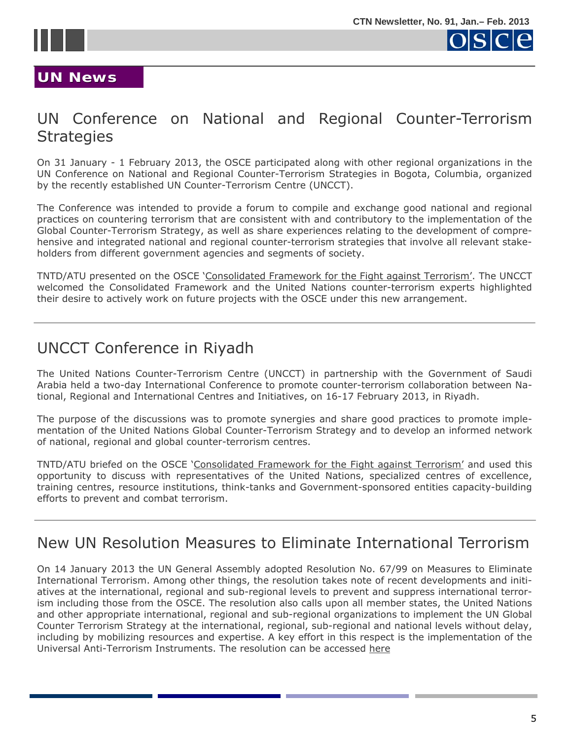<span id="page-4-0"></span>



#### **UN News UN News**

## UN Conference on National and Regional Counter-Terrorism **Strategies**

On 31 January - 1 February 2013, the OSCE participated along with other regional organizations in the UN Conference on National and Regional Counter-Terrorism Strategies in Bogota, Columbia, organized by the recently established UN Counter-Terrorism Centre (UNCCT).

The Conference was intended to provide a forum to compile and exchange good national and regional practices on countering terrorism that are consistent with and contributory to the implementation of the Global Counter-Terrorism Strategy, as well as share experiences relating to the development of comprehensive and integrated national and regional counter-terrorism strategies that involve all relevant stakeholders from different government agencies and segments of society.

TNTD/ATU presented on the OSCE '[Consolidated Framework for the Fight against Terrorism'.](http://www.osce.org/pc/98008) The UNCCT welcomed the Consolidated Framework and the United Nations counter-terrorism experts highlighted their desire to actively work on future projects with the OSCE under this new arrangement.

## UNCCT Conference in Riyadh

The United Nations Counter-Terrorism Centre (UNCCT) in partnership with the Government of Saudi Arabia held a two-day International Conference to promote counter-terrorism collaboration between National, Regional and International Centres and Initiatives, on 16-17 February 2013, in Riyadh.

The purpose of the discussions was to promote synergies and share good practices to promote implementation of the United Nations Global Counter-Terrorism Strategy and to develop an informed network of national, regional and global counter-terrorism centres.

TNTD/ATU briefed on the OSCE '[Consolidated Framework for the Fight against Terrorism'](http://www.osce.org/pc/98008) and used this opportunity to discuss with representatives of the United Nations, specialized centres of excellence, training centres, resource institutions, think-tanks and Government-sponsored entities capacity-building efforts to prevent and combat terrorism.

## New UN Resolution Measures to Eliminate International Terrorism

On 14 January 2013 the UN General Assembly adopted Resolution No. 67/99 on Measures to Eliminate International Terrorism. Among other things, the resolution takes note of recent developments and initiatives at the international, regional and sub-regional levels to prevent and suppress international terrorism including those from the OSCE. The resolution also calls upon all member states, the United Nations and other appropriate international, regional and sub-regional organizations to implement the UN Global Counter Terrorism Strategy at the international, regional, sub-regional and national levels without delay, including by mobilizing resources and expertise. A key effort in this respect is the implementation of the Universal Anti-Terrorism Instruments. The resolution can be accessed h[ere](http://www.unhcr.org/refworld/docid/5125dfc42.html)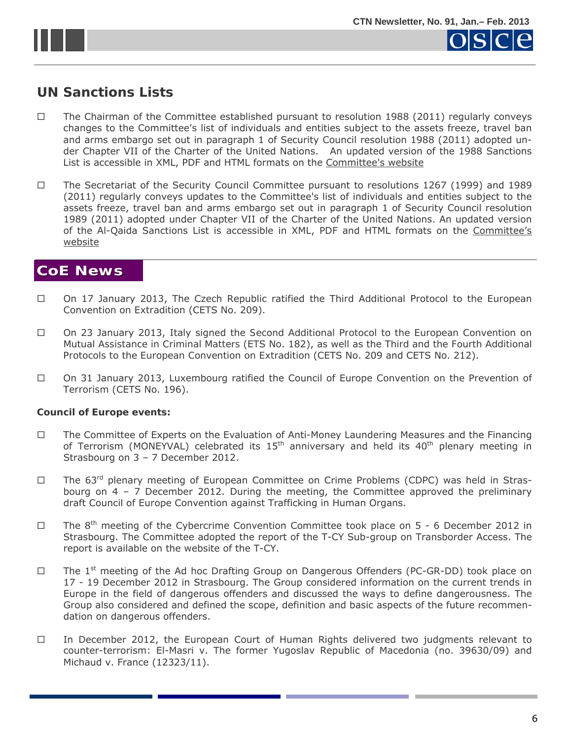<span id="page-5-0"></span>

#### **UN Sanctions Lists**

- $\Box$  The Chairman of the Committee established pursuant to resolution 1988 (2011) regularly conveys changes to the Committee's list of individuals and entities subject to the assets freeze, travel ban and arms embargo set out in paragraph 1 of Security Council resolution 1988 (2011) adopted under Chapter VII of the Charter of the United Nations. An updated version of the 1988 Sanctions List is accessible in XML, PDF and HTML formats on the [Committee's website](http://www.un.org/sc/committees/1988/list.shtml)
- The Secretariat of the Security Council Committee pursuant to resolutions 1267 (1999) and 1989 (2011) regularly conveys updates to the Committee's list of individuals and entities subject to the assets freeze, travel ban and arms embargo set out in paragraph 1 of Security Council resolution 1989 (2011) adopted under Chapter VII of the Charter of the United Nations. An updated version of the Al-Qaida Sanctions List is accessible in XML, PDF and HTML formats on the [Committee's](http://www.un.org/sc/committees/1267/aq_sanctions_list.shtml.) [website](http://www.un.org/sc/committees/1267/aq_sanctions_list.shtml.)

#### **CoE News CoE News**

- On 17 January 2013, The Czech Republic ratified the *Third Additional Protocol to the European Convention on Extradition* (CETS No. 209).
- On 23 January 2013, Italy signed the *Second Additional Protocol to the European Convention on Mutual Assistance in Criminal Matters* (ETS No. 182), as well as the *Third* and *the Fourth Additional Protocols to the European Convention on Extradition* (CETS No. 209 and CETS No. 212).
- On 31 January 2013, Luxembourg ratified the Council of Europe *Convention on the Prevention of Terrorism* (CETS No. 196).

#### **Council of Europe events:**

- The Committee of Experts on the Evaluation of Anti-Money Laundering Measures and the Financing of Terrorism (MONEYVAL) celebrated its  $15<sup>th</sup>$  anniversary and held its  $40<sup>th</sup>$  plenary meeting in Strasbourg on 3 – 7 December 2012.
- $\Box$  The 63<sup>rd</sup> plenary meeting of European Committee on Crime Problems (CDPC) was held in Strasbourg on  $4 - 7$  December 2012. During the meeting, the Committee approved the preliminary draft Council of Europe Convention against Trafficking in Human Organs.
- $\Box$  The 8<sup>th</sup> meeting of the Cybercrime Convention Committee took place on 5 6 December 2012 in Strasbourg. The Committee adopted the report of the T-CY Sub-group on Transborder Access. The report is available on the website of the T-CY.
- $\Box$  The 1<sup>st</sup> meeting of the Ad hoc Drafting Group on Dangerous Offenders (PC-GR-DD) took place on 17 - 19 December 2012 in Strasbourg. The Group considered information on the current trends in Europe in the field of dangerous offenders and discussed the ways to define dangerousness. The Group also considered and defined the scope, definition and basic aspects of the future recommendation on dangerous offenders.
- $\Box$  In December 2012, the European Court of Human Rights delivered two judgments relevant to counter-terrorism: El-Masri v. The former Yugoslav Republic of Macedonia (no. 39630/09) and Michaud v. France (12323/11).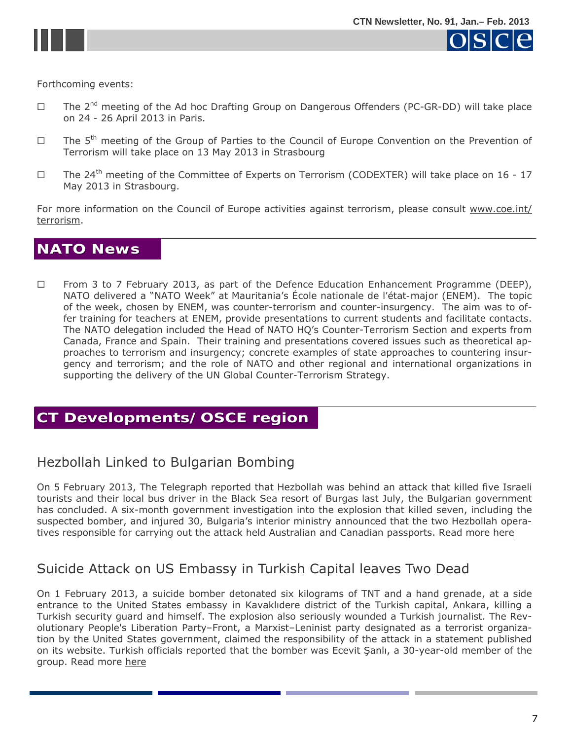

<span id="page-6-0"></span>

 $SCICP$ 

Forthcoming events:

- $\Box$  The 2<sup>nd</sup> meeting of the Ad hoc Drafting Group on Dangerous Offenders (PC-GR-DD) will take place on 24 - 26 April 2013 in Paris.
- $\Box$  The 5<sup>th</sup> meeting of the Group of Parties to the Council of Europe Convention on the Prevention of Terrorism will take place on 13 May 2013 in Strasbourg
- $\Box$  The 24<sup>th</sup> meeting of the Committee of Experts on Terrorism (CODEXTER) will take place on 16 17 May 2013 in Strasbourg.

For more information on the Council of Europe activities against terrorism, please consult [www.coe.int/](http://www.coe.int/terrorism) [terrorism](http://www.coe.int/terrorism).

## **NATO News NATO News**

□ From 3 to 7 February 2013, as part of the Defence Education Enhancement Programme (DEEP), NATO delivered a "NATO Week" at Mauritania's *École nationale de l'état-major* (ENEM). The topic of the week, chosen by ENEM, was counter-terrorism and counter-insurgency. The aim was to offer training for teachers at ENEM, provide presentations to current students and facilitate contacts. The NATO delegation included the Head of NATO HQ's Counter-Terrorism Section and experts from Canada, France and Spain. Their training and presentations covered issues such as theoretical approaches to terrorism and insurgency; concrete examples of state approaches to countering insurgency and terrorism; and the role of NATO and other regional and international organizations in supporting the delivery of the UN Global Counter-Terrorism Strategy.

## **CT Developments/OSCE region CT Developments/OSCE region**

#### Hezbollah Linked to Bulgarian Bombing

On 5 February 2013, The Telegraph reported that Hezbollah was behind an attack that killed five Israeli tourists and their local bus driver in the Black Sea resort of Burgas last July, the Bulgarian government has concluded. A six-month government investigation into the explosion that killed seven, including the suspected bomber, and injured 30, Bulgaria's interior ministry announced that the two Hezbollah operatives responsible for carrying out the attack held Australian and Canadian passports. Read mor[e here](http://www.telegraph.co.uk/news/worldnews/europe/bulgaria/9850397/Hizbollah-linked-to-Bulgarian-bombing.html)

## Suicide Attack on US Embassy in Turkish Capital leaves Two Dead

On 1 February 2013, a suicide bomber detonated six kilograms of TNT and a hand grenade, at a side entrance to the United States embassy in Kavaklıdere district of the Turkish capital, Ankara, killing a Turkish security guard and himself. The explosion also seriously wounded a Turkish journalist. The Revolutionary People's Liberation Party–Front, a Marxist–Leninist party designated as a terrorist organization by the United States government, claimed the responsibility of the attack in a statement published on its website. Turkish officials reported that the bomber was Ecevit Şanlı, a 30-year-old member of the group. Read mor[e here](http://en.wikipedia.org/wiki/2013_United_States_embassy_bombing_in_Ankara)